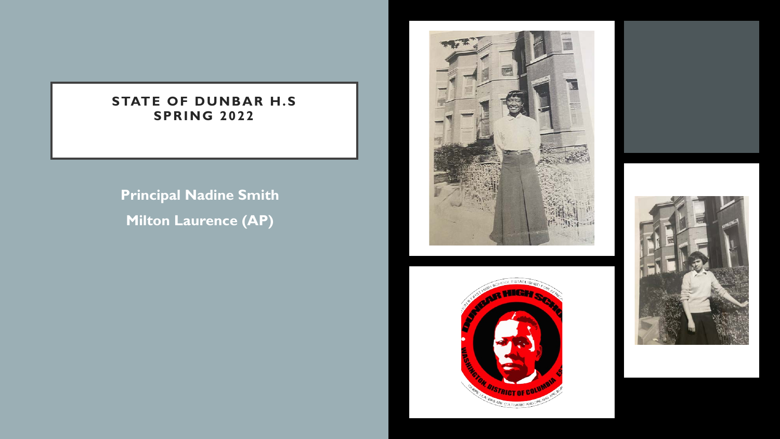#### **STATE OF DUNBAR H.S SPRING 2022**

• **Principal Nadine Smith** • **Milton Laurence (AP)**





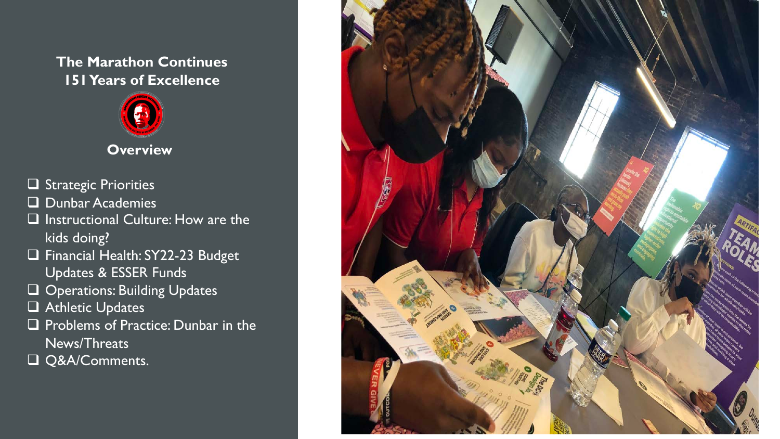#### **The Marathon Continues 151 Years of Excellence**



#### **Overview**

- $\Box$  Strategic Priorities
- $\Box$  Dunbar Academies
- $\square$  Instructional Culture: How are the kids doing?
- **Q** Financial Health: SY22-23 Budget Updates & ESSER Funds
- **Q** Operations: Building Updates
- $\Box$  Athletic Updates
- **Q** Problems of Practice: Dunbar in the News/Threats
- Q&A/Comments.

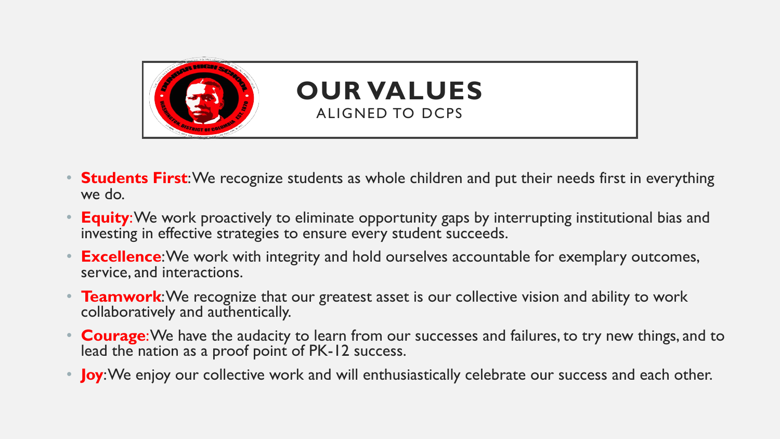

- **Students First**: We recognize students as whole children and put their needs first in everything we do.
- **Equity**: We work proactively to eliminate opportunity gaps by interrupting institutional bias and investing in effective strategies to ensure every student succeeds.
- **Excellence**: We work with integrity and hold ourselves accountable for exemplary outcomes, service, and interactions.
- **Teamwork:** We recognize that our greatest asset is our collective vision and ability to work collaboratively and authentically.
- **Courage**: We have the audacity to learn from our successes and failures, to try new things, and to lead the nation as a proof point of PK-12 success.
- **Joy**: We enjoy our collective work and will enthusiastically celebrate our success and each other.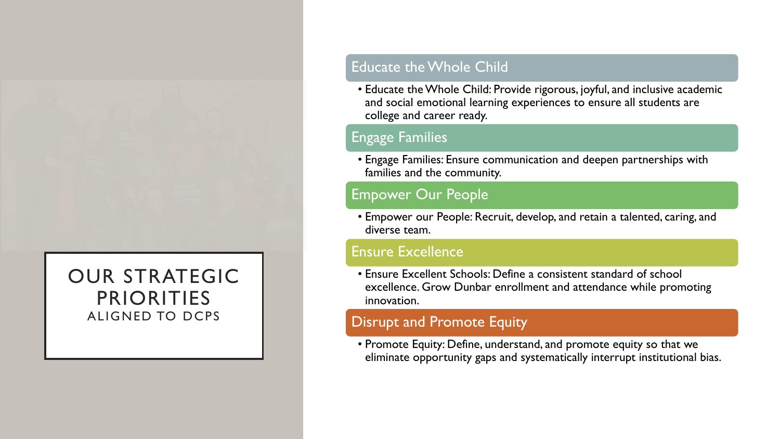### OUR STRATEGIC PRIORITIES ALIGNED TO DCPS

#### Educate the Whole Child

• Educate the Whole Child: Provide rigorous, joyful, and inclusive academic and social emotional learning experiences to ensure all students are college and career ready.

#### Engage Families

• Engage Families: Ensure communication and deepen partnerships with families and the community.

#### Empower Our People

• Empower our People: Recruit, develop, and retain a talented, caring, and diverse team.

#### Ensure Excellence

• Ensure Excellent Schools: Define a consistent standard of school excellence. Grow Dunbar enrollment and attendance while promoting innovation.

#### Disrupt and Promote Equity

• Promote Equity: Define, understand, and promote equity so that we eliminate opportunity gaps and systematically interrupt institutional bias.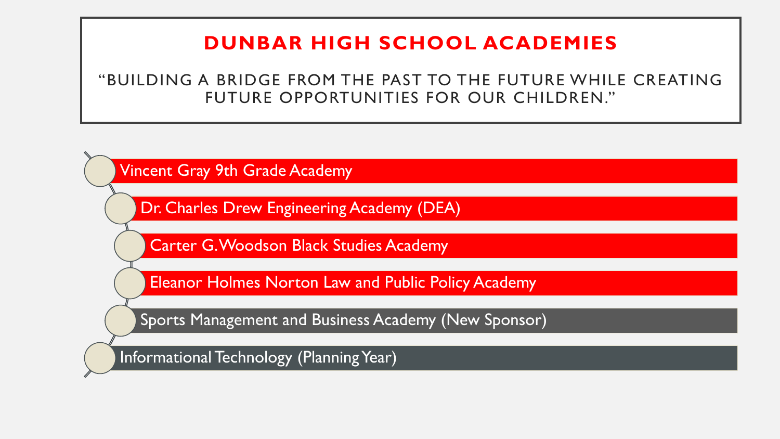### **DUNBAR HIGH SCHOOL ACADEMIES**

"BUILDING A BRIDGE FROM THE PAST TO THE FUTURE WHILE CREATING FUTURE OPPORTUNITIES FOR OUR CHILDREN."

Vincent Gray 9th Grade Academy

Dr. Charles Drew Engineering Academy (DEA)

Carter G. Woodson Black Studies Academy

Eleanor Holmes Norton Law and Public Policy Academy

Sports Management and Business Academy (New Sponsor)

Informational Technology (Planning Year)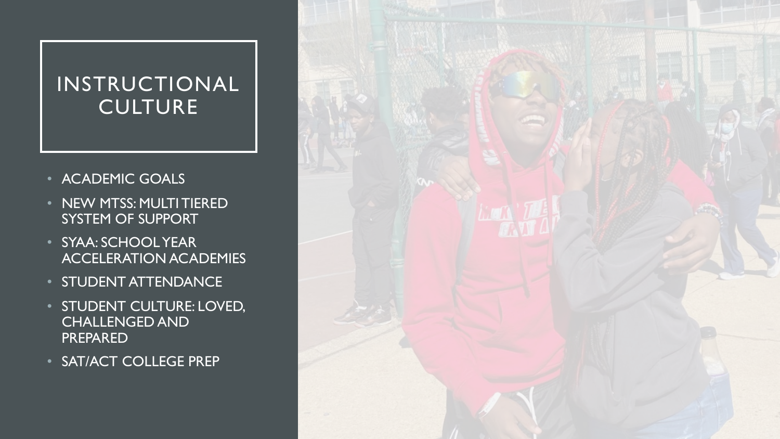## INSTRUCTIONAL **CULTURE**

- ACADEMIC GOALS
- NEW MTSS: MULTI TIERED SYSTEM OF SUPPORT
- SYAA: SCHOOL YEAR ACCELERATION ACADEMIES
- STUDENT ATTENDANCE
- STUDENT CULTURE: LOVED, CHALLENGED AND PREPARED
- SAT/ACT COLLEGE PREP

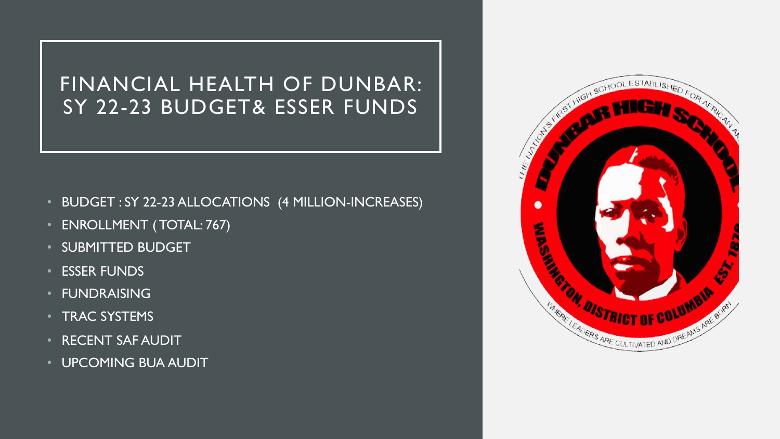FINANCIAL HEALTH OF DUNBAR: SY 22-23 BUDGET& ESSER FUNDS

- BUDGET : SY 22-23 ALLOCATIONS (4 MILLION-INCREASES)
- ENROLLMENT ( TOTAL: 767)
- SUBMITTED BUDGET
- ESSER FUNDS
- FUNDRAISING
- TRAC SYSTEMS
- RECENT SAF AUDIT
- UPCOMING BUA AUDIT

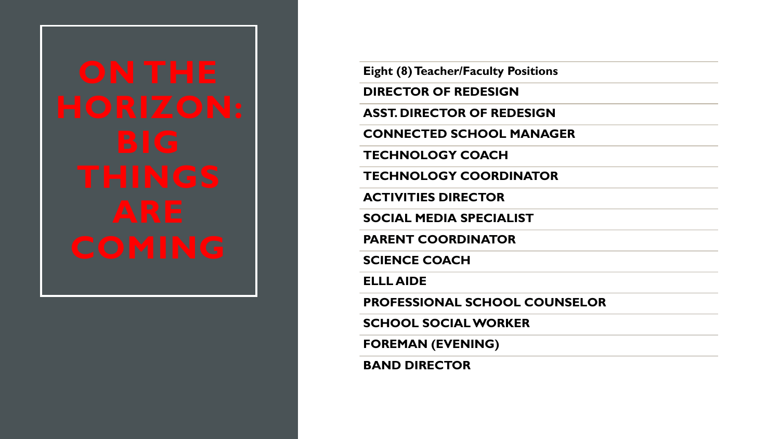| ON THE   |
|----------|
| HORIZON: |
| BIG      |
| THINGS   |
| ARE      |
| COMING   |

**Eight (8) Teacher/Faculty Positions**

**DIRECTOR OF REDESIGN**

**ASST. DIRECTOR OF REDESIGN**

**CONNECTED SCHOOL MANAGER**

**TECHNOLOGY COACH**

**TECHNOLOGY COORDINATOR**

**ACTIVITIES DIRECTOR**

**SOCIAL MEDIA SPECIALIST**

**PARENT COORDINATOR**

**SCIENCE COACH**

**ELLL AIDE**

**PROFESSIONAL SCHOOL COUNSELOR**

**SCHOOL SOCIAL WORKER**

**FOREMAN (EVENING)**

**BAND DIRECTOR**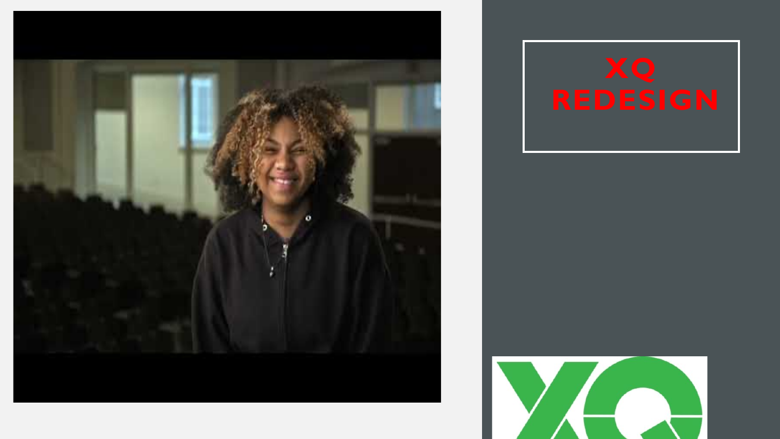



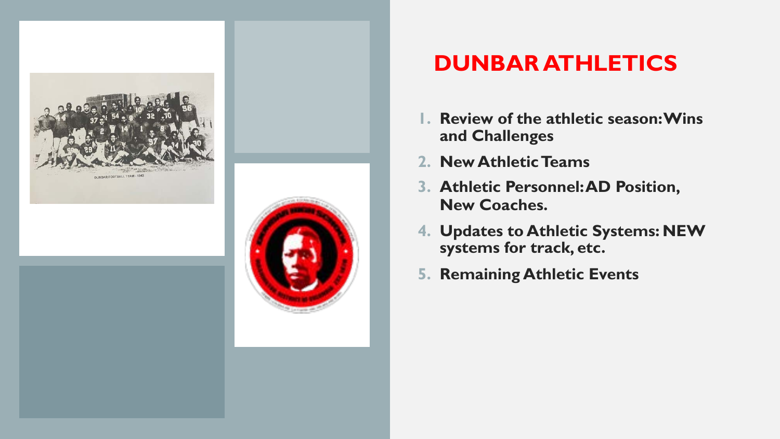

# **DUNBAR ATHLETICS**

- **1. Review of the athletic season: Wins and Challenges**
- **2. New Athletic Teams**
- **3. Athletic Personnel: AD Position, New Coaches.**
- **4. Updates to Athletic Systems: NEW systems for track, etc.**
- **5. Remaining Athletic Events**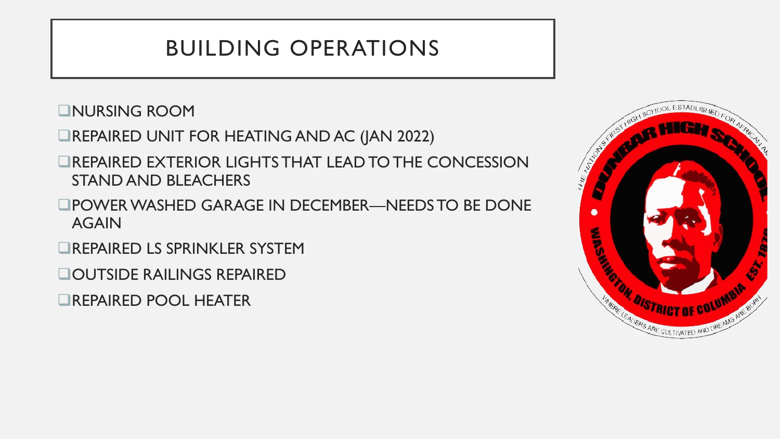# BUILDING OPERATIONS

**QNURSING ROOM** 

- **EREPAIRED UNIT FOR HEATING AND AC (JAN 2022)**
- **QREPAIRED EXTERIOR LIGHTS THAT LEAD TO THE CONCESSION** STAND AND BLEACHERS
- **QPOWER WASHED GARAGE IN DECEMBER—NEEDS TO BE DONE** AGAIN

**QREPAIRED LS SPRINKLER SYSTEM** 

**QOUTSIDE RAILINGS REPAIRED** 

**QREPAIRED POOL HEATER** 

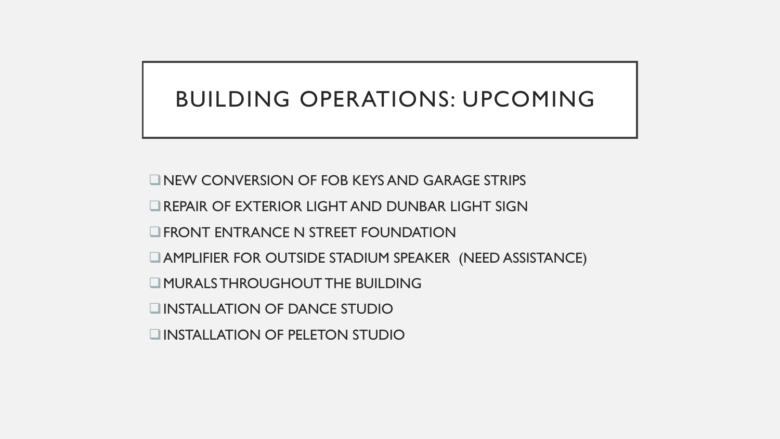# BUILDING OPERATIONS: UPCOMING

 $\Box$ NEW CONVERSION OF FOB KEYS AND GARAGE STRIPS  $\Box$  REPAIR OF EXTERIOR LIGHT AND DUNBAR LIGHT SIGN  $\Box$ FRONT ENTRANCE N STREET FOUNDATION **QAMPLIFIER FOR OUTSIDE STADIUM SPEAKER (NEED ASSISTANCE) Q MURALS THROUGHOUT THE BUILDING QINSTALLATION OF DANCE STUDIO QINSTALLATION OF PELETON STUDIO**